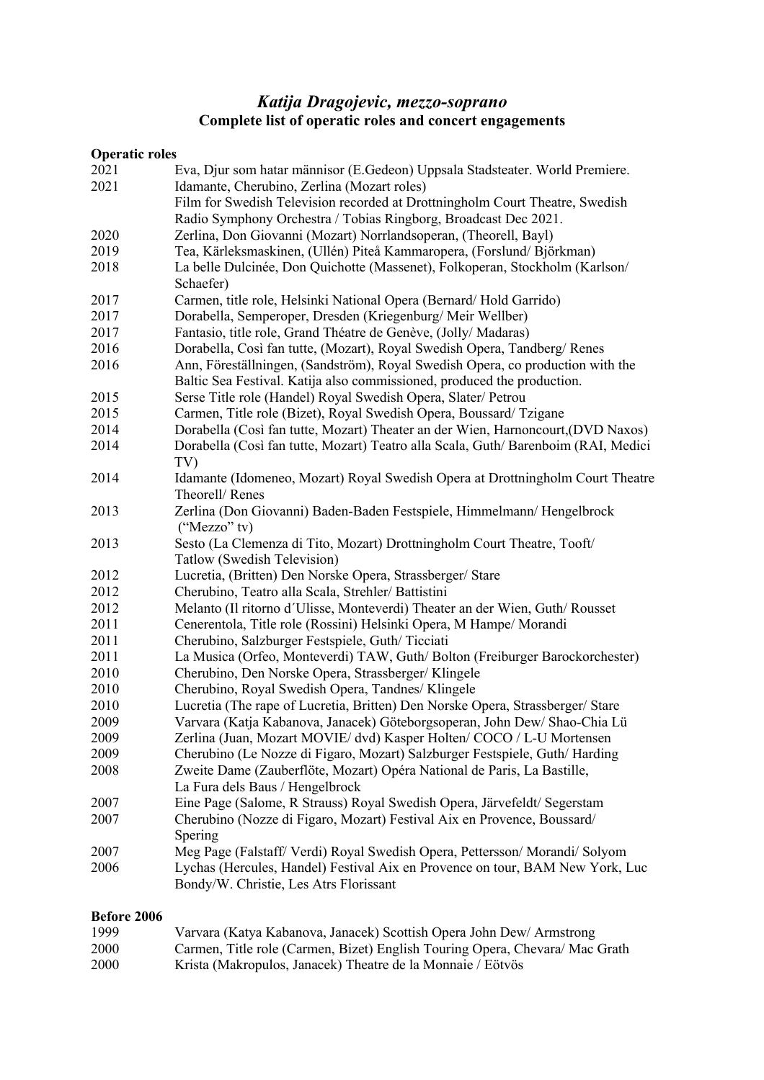# *Katija Dragojevic, mezzo-soprano* **Complete list of operatic roles and concert engagements**

### **Operatic roles**

| 2021 | Eva, Djur som hatar männisor (E.Gedeon) Uppsala Stadsteater. World Premiere.      |
|------|-----------------------------------------------------------------------------------|
| 2021 | Idamante, Cherubino, Zerlina (Mozart roles)                                       |
|      | Film for Swedish Television recorded at Drottningholm Court Theatre, Swedish      |
|      | Radio Symphony Orchestra / Tobias Ringborg, Broadcast Dec 2021.                   |
| 2020 | Zerlina, Don Giovanni (Mozart) Norrlandsoperan, (Theorell, Bayl)                  |
| 2019 | Tea, Kärleksmaskinen, (Ullén) Piteå Kammaropera, (Forslund/Björkman)              |
| 2018 | La belle Dulcinée, Don Quichotte (Massenet), Folkoperan, Stockholm (Karlson/      |
|      | Schaefer)                                                                         |
| 2017 | Carmen, title role, Helsinki National Opera (Bernard/Hold Garrido)                |
| 2017 | Dorabella, Semperoper, Dresden (Kriegenburg/Meir Wellber)                         |
| 2017 | Fantasio, title role, Grand Théatre de Genève, (Jolly/ Madaras)                   |
| 2016 | Dorabella, Così fan tutte, (Mozart), Royal Swedish Opera, Tandberg/Renes          |
| 2016 | Ann, Föreställningen, (Sandström), Royal Swedish Opera, co production with the    |
|      | Baltic Sea Festival. Katija also commissioned, produced the production.           |
| 2015 | Serse Title role (Handel) Royal Swedish Opera, Slater/ Petrou                     |
| 2015 | Carmen, Title role (Bizet), Royal Swedish Opera, Boussard/Tzigane                 |
| 2014 | Dorabella (Così fan tutte, Mozart) Theater an der Wien, Harnoncourt, (DVD Naxos)  |
| 2014 | Dorabella (Così fan tutte, Mozart) Teatro alla Scala, Guth/Barenboim (RAI, Medici |
|      | TV)                                                                               |
| 2014 | Idamante (Idomeneo, Mozart) Royal Swedish Opera at Drottningholm Court Theatre    |
|      | Theorell/Renes                                                                    |
| 2013 | Zerlina (Don Giovanni) Baden-Baden Festspiele, Himmelmann/ Hengelbrock            |
|      | $("Mezzo"$ tv)                                                                    |
| 2013 | Sesto (La Clemenza di Tito, Mozart) Drottningholm Court Theatre, Tooft/           |
|      | Tatlow (Swedish Television)                                                       |
| 2012 | Lucretia, (Britten) Den Norske Opera, Strassberger/ Stare                         |
| 2012 | Cherubino, Teatro alla Scala, Strehler/ Battistini                                |
| 2012 | Melanto (Il ritorno d'Ulisse, Monteverdi) Theater an der Wien, Guth/Rousset       |
| 2011 | Cenerentola, Title role (Rossini) Helsinki Opera, M Hampe/ Morandi                |
| 2011 | Cherubino, Salzburger Festspiele, Guth/Ticciati                                   |
| 2011 | La Musica (Orfeo, Monteverdi) TAW, Guth/Bolton (Freiburger Barockorchester)       |
| 2010 | Cherubino, Den Norske Opera, Strassberger/Klingele                                |
| 2010 | Cherubino, Royal Swedish Opera, Tandnes/ Klingele                                 |
| 2010 | Lucretia (The rape of Lucretia, Britten) Den Norske Opera, Strassberger/ Stare    |
| 2009 | Varvara (Katja Kabanova, Janacek) Göteborgsoperan, John Dew/ Shao-Chia Lü         |
| 2009 | Zerlina (Juan, Mozart MOVIE/ dvd) Kasper Holten/ COCO / L-U Mortensen             |
| 2009 | Cherubino (Le Nozze di Figaro, Mozart) Salzburger Festspiele, Guth/ Harding       |
| 2008 | Zweite Dame (Zauberflöte, Mozart) Opéra National de Paris, La Bastille,           |
|      | La Fura dels Baus / Hengelbrock                                                   |
| 2007 | Eine Page (Salome, R Strauss) Royal Swedish Opera, Järvefeldt/ Segerstam          |
| 2007 | Cherubino (Nozze di Figaro, Mozart) Festival Aix en Provence, Boussard/           |
|      | Spering                                                                           |
| 2007 | Meg Page (Falstaff/ Verdi) Royal Swedish Opera, Pettersson/ Morandi/ Solyom       |
| 2006 | Lychas (Hercules, Handel) Festival Aix en Provence on tour, BAM New York, Luc     |
|      | Bondy/W. Christie, Les Atrs Florissant                                            |

## **Before 2006**

| 1999 | Varvara (Katya Kabanova, Janacek) Scottish Opera John Dew/ Armstrong        |
|------|-----------------------------------------------------------------------------|
| 2000 | Carmen, Title role (Carmen, Bizet) English Touring Opera, Chevara/Mac Grath |
| 2000 | Krista (Makropulos, Janacek) Theatre de la Monnaie / Eötvös                 |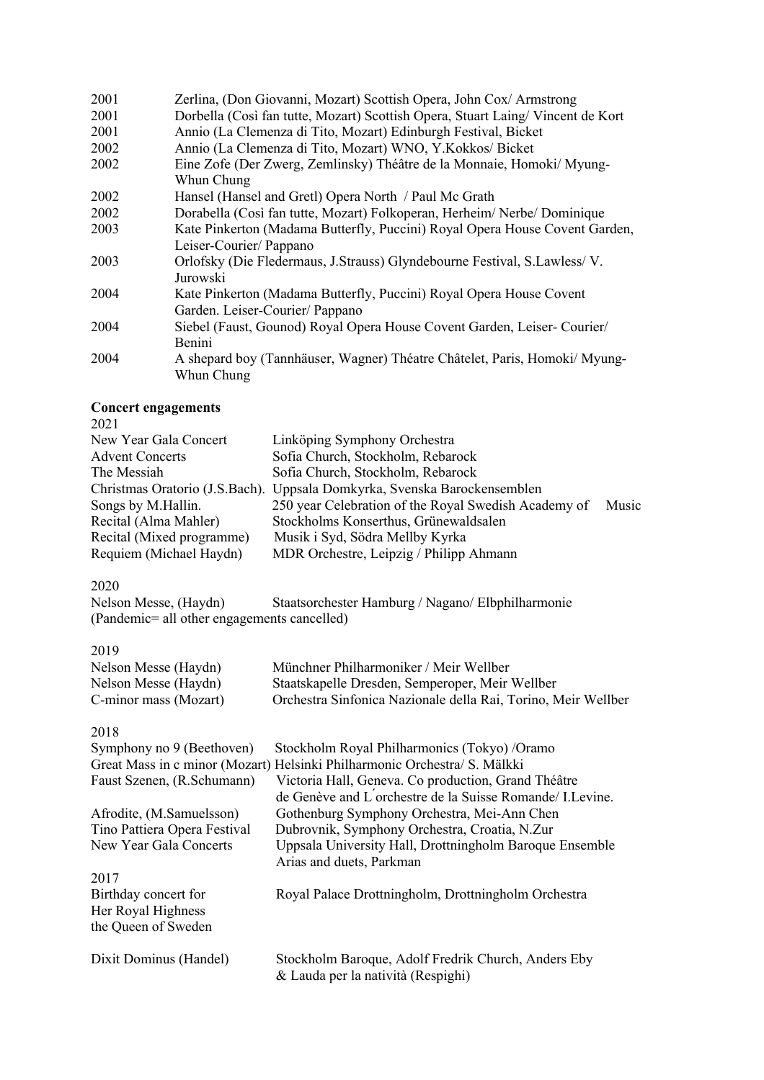| 2001 | Zerlina, (Don Giovanni, Mozart) Scottish Opera, John Cox/ Armstrong            |
|------|--------------------------------------------------------------------------------|
| 2001 | Dorbella (Così fan tutte, Mozart) Scottish Opera, Stuart Laing/Vincent de Kort |
| 2001 | Annio (La Clemenza di Tito, Mozart) Edinburgh Festival, Bicket                 |
| 2002 | Annio (La Clemenza di Tito, Mozart) WNO, Y.Kokkos/ Bicket                      |
| 2002 | Eine Zofe (Der Zwerg, Zemlinsky) Théâtre de la Monnaie, Homoki/ Myung-         |
|      | Whun Chung                                                                     |
| 2002 | Hansel (Hansel and Gretl) Opera North / Paul Mc Grath                          |
| 2002 | Dorabella (Così fan tutte, Mozart) Folkoperan, Herheim/Nerbe/Dominique         |
| 2003 | Kate Pinkerton (Madama Butterfly, Puccini) Royal Opera House Covent Garden,    |
|      | Leiser-Courier/ Pappano                                                        |
| 2003 | Orlofsky (Die Fledermaus, J.Strauss) Glyndebourne Festival, S.Lawless/V.       |
|      | Jurowski                                                                       |
| 2004 | Kate Pinkerton (Madama Butterfly, Puccini) Royal Opera House Covent            |
|      | Garden. Leiser-Courier/ Pappano                                                |
| 2004 | Siebel (Faust, Gounod) Royal Opera House Covent Garden, Leiser- Courier/       |
|      | Benini                                                                         |
| 2004 | A shepard boy (Tannhäuser, Wagner) Théatre Châtelet, Paris, Homoki/ Myung-     |
|      | Whun Chung                                                                     |

#### **Concert engagements**  2021

| New Year Gala Concert     | Linköping Symphony Orchestra                                             |       |
|---------------------------|--------------------------------------------------------------------------|-------|
| <b>Advent Concerts</b>    | Sofia Church, Stockholm, Rebarock                                        |       |
| The Messiah               | Sofia Church, Stockholm, Rebarock                                        |       |
|                           | Christmas Oratorio (J.S.Bach). Uppsala Domkyrka, Svenska Barockensemblen |       |
| Songs by M.Hallin.        | 250 year Celebration of the Royal Swedish Academy of                     | Music |
| Recital (Alma Mahler)     | Stockholms Konserthus, Grünewaldsalen                                    |       |
| Recital (Mixed programme) | Musik i Syd, Södra Mellby Kyrka                                          |       |
| Requiem (Michael Haydn)   | MDR Orchestre, Leipzig / Philipp Ahmann                                  |       |
|                           |                                                                          |       |

2020<br>Nelson Messe, (Haydn) Staatsorchester Hamburg / Nagano/ Elbphilharmonie (Pandemic= all other engagements cancelled)

2019

| ---                   |                                                               |
|-----------------------|---------------------------------------------------------------|
| Nelson Messe (Haydn)  | Münchner Philharmoniker / Meir Wellber                        |
| Nelson Messe (Haydn)  | Staatskapelle Dresden, Semperoper, Meir Wellber               |
| C-minor mass (Mozart) | Orchestra Sinfonica Nazionale della Rai, Torino, Meir Wellber |

2018

| Symphony no 9 (Beethoven)<br>Faust Szenen, (R.Schumann)           | Stockholm Royal Philharmonics (Tokyo) /Oramo<br>Great Mass in c minor (Mozart) Helsinki Philharmonic Orchestra/ S. Mälkki<br>Victoria Hall, Geneva. Co production, Grand Théâtre<br>de Genève and L'orchestre de la Suisse Romande/ I. Levine. |
|-------------------------------------------------------------------|------------------------------------------------------------------------------------------------------------------------------------------------------------------------------------------------------------------------------------------------|
| Afrodite, (M.Samuelsson)                                          | Gothenburg Symphony Orchestra, Mei-Ann Chen                                                                                                                                                                                                    |
| Tino Pattiera Opera Festival                                      | Dubrovnik, Symphony Orchestra, Croatia, N.Zur                                                                                                                                                                                                  |
| New Year Gala Concerts                                            | Uppsala University Hall, Drottningholm Baroque Ensemble<br>Arias and duets, Parkman                                                                                                                                                            |
| 2017                                                              |                                                                                                                                                                                                                                                |
| Birthday concert for<br>Her Royal Highness<br>the Queen of Sweden | Royal Palace Drottningholm, Drottningholm Orchestra                                                                                                                                                                                            |
| Dixit Dominus (Handel)                                            | Stockholm Baroque, Adolf Fredrik Church, Anders Eby<br>& Lauda per la natività (Respighi)                                                                                                                                                      |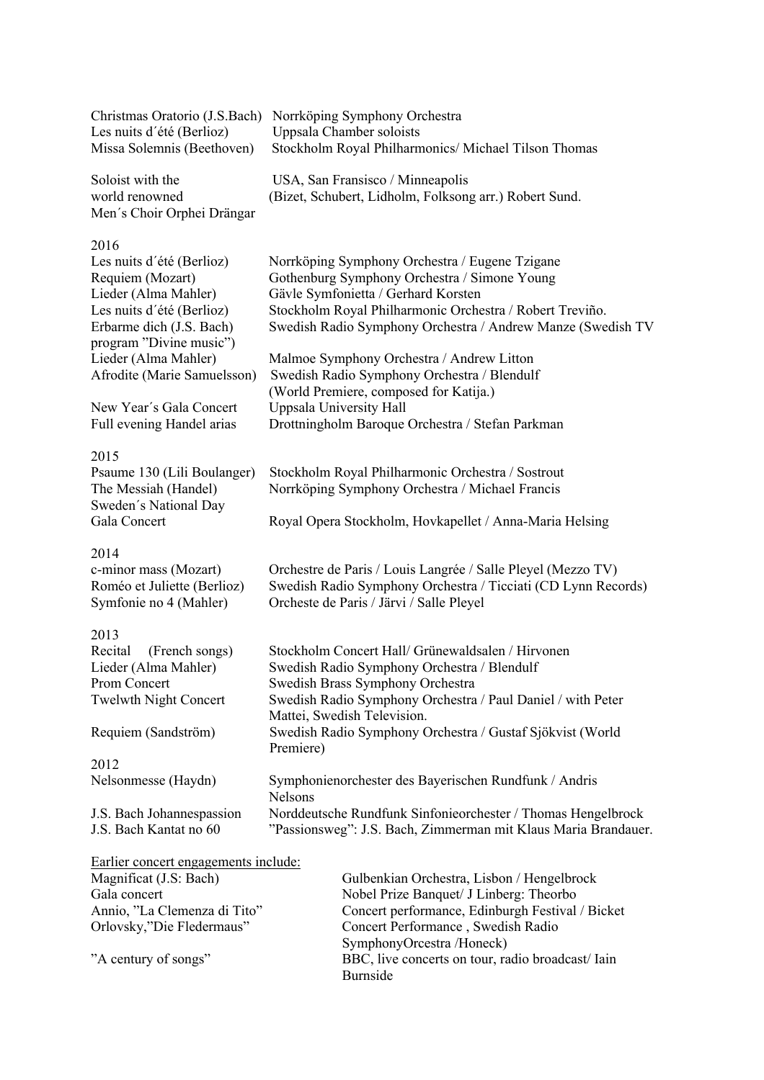| Christmas Oratorio (J.S.Bach)<br>Les nuits d'été (Berlioz)                                                                     | Norrköping Symphony Orchestra<br>Uppsala Chamber soloists                                                                                                                                                                                                        |
|--------------------------------------------------------------------------------------------------------------------------------|------------------------------------------------------------------------------------------------------------------------------------------------------------------------------------------------------------------------------------------------------------------|
| Missa Solemnis (Beethoven)                                                                                                     | Stockholm Royal Philharmonics/ Michael Tilson Thomas                                                                                                                                                                                                             |
| Soloist with the<br>world renowned<br>Men's Choir Orphei Drängar                                                               | USA, San Fransisco / Minneapolis<br>(Bizet, Schubert, Lidholm, Folksong arr.) Robert Sund.                                                                                                                                                                       |
| 2016                                                                                                                           |                                                                                                                                                                                                                                                                  |
| Les nuits d'été (Berlioz)<br>Requiem (Mozart)<br>Lieder (Alma Mahler)<br>Les nuits d'été (Berlioz)<br>Erbarme dich (J.S. Bach) | Norrköping Symphony Orchestra / Eugene Tzigane<br>Gothenburg Symphony Orchestra / Simone Young<br>Gävle Symfonietta / Gerhard Korsten<br>Stockholm Royal Philharmonic Orchestra / Robert Treviño.<br>Swedish Radio Symphony Orchestra / Andrew Manze (Swedish TV |
| program "Divine music")                                                                                                        |                                                                                                                                                                                                                                                                  |
| Lieder (Alma Mahler)<br>Afrodite (Marie Samuelsson)                                                                            | Malmoe Symphony Orchestra / Andrew Litton<br>Swedish Radio Symphony Orchestra / Blendulf<br>(World Premiere, composed for Katija.)                                                                                                                               |
| New Year's Gala Concert                                                                                                        | Uppsala University Hall                                                                                                                                                                                                                                          |
| Full evening Handel arias                                                                                                      | Drottningholm Baroque Orchestra / Stefan Parkman                                                                                                                                                                                                                 |
| 2015                                                                                                                           |                                                                                                                                                                                                                                                                  |
| Psaume 130 (Lili Boulanger)                                                                                                    | Stockholm Royal Philharmonic Orchestra / Sostrout                                                                                                                                                                                                                |
| The Messiah (Handel)                                                                                                           | Norrköping Symphony Orchestra / Michael Francis                                                                                                                                                                                                                  |
| Sweden's National Day<br>Gala Concert                                                                                          | Royal Opera Stockholm, Hovkapellet / Anna-Maria Helsing                                                                                                                                                                                                          |
| 2014                                                                                                                           |                                                                                                                                                                                                                                                                  |
| c-minor mass (Mozart)                                                                                                          | Orchestre de Paris / Louis Langrée / Salle Pleyel (Mezzo TV)                                                                                                                                                                                                     |
| Roméo et Juliette (Berlioz)<br>Symfonie no 4 (Mahler)                                                                          | Swedish Radio Symphony Orchestra / Ticciati (CD Lynn Records)<br>Orcheste de Paris / Järvi / Salle Pleyel                                                                                                                                                        |
| 2013                                                                                                                           |                                                                                                                                                                                                                                                                  |
| Recital<br>(French songs)                                                                                                      | Stockholm Concert Hall/ Grünewaldsalen / Hirvonen                                                                                                                                                                                                                |
| Lieder (Alma Mahler)                                                                                                           | Swedish Radio Symphony Orchestra / Blendulf                                                                                                                                                                                                                      |
| <b>Prom Concert</b>                                                                                                            | Swedish Brass Symphony Orchestra                                                                                                                                                                                                                                 |
| <b>Twelwth Night Concert</b>                                                                                                   | Swedish Radio Symphony Orchestra / Paul Daniel / with Peter<br>Mattei, Swedish Television.                                                                                                                                                                       |
| Requiem (Sandström)                                                                                                            | Swedish Radio Symphony Orchestra / Gustaf Sjökvist (World<br>Premiere)                                                                                                                                                                                           |
| 2012                                                                                                                           |                                                                                                                                                                                                                                                                  |
| Nelsonmesse (Haydn)                                                                                                            | Symphonienorchester des Bayerischen Rundfunk / Andris<br><b>Nelsons</b>                                                                                                                                                                                          |
| J.S. Bach Johannespassion                                                                                                      | Norddeutsche Rundfunk Sinfonieorchester / Thomas Hengelbrock                                                                                                                                                                                                     |
| J.S. Bach Kantat no 60                                                                                                         | "Passionsweg": J.S. Bach, Zimmerman mit Klaus Maria Brandauer.                                                                                                                                                                                                   |
| Earlier concert engagements include:                                                                                           |                                                                                                                                                                                                                                                                  |
| Magnificat (J.S: Bach)                                                                                                         | Gulbenkian Orchestra, Lisbon / Hengelbrock                                                                                                                                                                                                                       |
| Gala concert                                                                                                                   | Nobel Prize Banquet/ J Linberg: Theorbo                                                                                                                                                                                                                          |

| Magnificat (J.S: Bach)       | Gulbenkian Orchestra, Lisbon / Hengelbrock       |
|------------------------------|--------------------------------------------------|
| Gala concert                 | Nobel Prize Banquet/ J Linberg: Theorbo          |
| Annio, "La Clemenza di Tito" | Concert performance, Edinburgh Festival / Bicket |
| Orlovsky,"Die Fledermaus"    | Concert Performance, Swedish Radio               |
|                              | SymphonyOrcestra/Honeck)                         |
| "A century of songs"         | BBC, live concerts on tour, radio broadcast/Iain |
|                              | <b>Burnside</b>                                  |
|                              |                                                  |